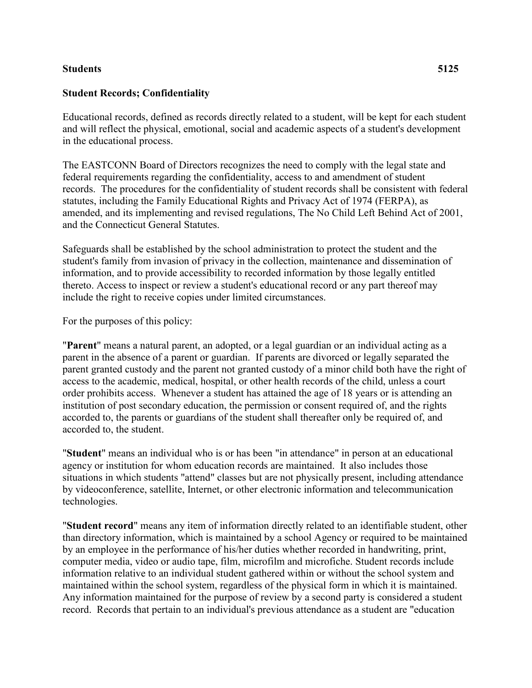## **Students 5125**

## **Student Records; Confidentiality**

Educational records, defined as records directly related to a student, will be kept for each student and will reflect the physical, emotional, social and academic aspects of a student's development in the educational process.

The EASTCONN Board of Directors recognizes the need to comply with the legal state and federal requirements regarding the confidentiality, access to and amendment of student records. The procedures for the confidentiality of student records shall be consistent with federal statutes, including the Family Educational Rights and Privacy Act of 1974 (FERPA), as amended, and its implementing and revised regulations, The No Child Left Behind Act of 2001, and the Connecticut General Statutes.

Safeguards shall be established by the school administration to protect the student and the student's family from invasion of privacy in the collection, maintenance and dissemination of information, and to provide accessibility to recorded information by those legally entitled thereto. Access to inspect or review a student's educational record or any part thereof may include the right to receive copies under limited circumstances.

For the purposes of this policy:

"**Parent**" means a natural parent, an adopted, or a legal guardian or an individual acting as a parent in the absence of a parent or guardian. If parents are divorced or legally separated the parent granted custody and the parent not granted custody of a minor child both have the right of access to the academic, medical, hospital, or other health records of the child, unless a court order prohibits access. Whenever a student has attained the age of 18 years or is attending an institution of post secondary education, the permission or consent required of, and the rights accorded to, the parents or guardians of the student shall thereafter only be required of, and accorded to, the student.

"**Student**" means an individual who is or has been "in attendance" in person at an educational agency or institution for whom education records are maintained. It also includes those situations in which students "attend" classes but are not physically present, including attendance by videoconference, satellite, Internet, or other electronic information and telecommunication technologies.

"**Student record**" means any item of information directly related to an identifiable student, other than directory information, which is maintained by a school Agency or required to be maintained by an employee in the performance of his/her duties whether recorded in handwriting, print, computer media, video or audio tape, film, microfilm and microfiche. Student records include information relative to an individual student gathered within or without the school system and maintained within the school system, regardless of the physical form in which it is maintained. Any information maintained for the purpose of review by a second party is considered a student record. Records that pertain to an individual's previous attendance as a student are "education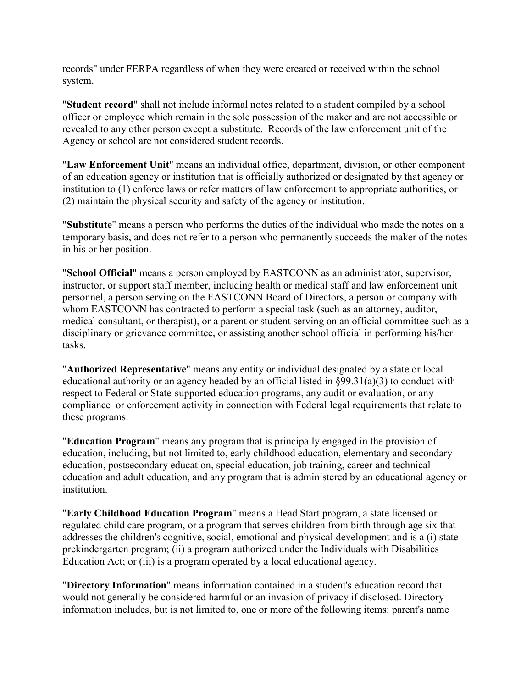records" under FERPA regardless of when they were created or received within the school system.

"**Student record**" shall not include informal notes related to a student compiled by a school officer or employee which remain in the sole possession of the maker and are not accessible or revealed to any other person except a substitute. Records of the law enforcement unit of the Agency or school are not considered student records.

"**Law Enforcement Unit**" means an individual office, department, division, or other component of an education agency or institution that is officially authorized or designated by that agency or institution to (1) enforce laws or refer matters of law enforcement to appropriate authorities, or (2) maintain the physical security and safety of the agency or institution.

"**Substitute**" means a person who performs the duties of the individual who made the notes on a temporary basis, and does not refer to a person who permanently succeeds the maker of the notes in his or her position.

"**School Official**" means a person employed by EASTCONN as an administrator, supervisor, instructor, or support staff member, including health or medical staff and law enforcement unit personnel, a person serving on the EASTCONN Board of Directors, a person or company with whom EASTCONN has contracted to perform a special task (such as an attorney, auditor, medical consultant, or therapist), or a parent or student serving on an official committee such as a disciplinary or grievance committee, or assisting another school official in performing his/her tasks.

"**Authorized Representative**" means any entity or individual designated by a state or local educational authority or an agency headed by an official listed in §99.31(a)(3) to conduct with respect to Federal or State-supported education programs, any audit or evaluation, or any compliance or enforcement activity in connection with Federal legal requirements that relate to these programs.

"**Education Program**" means any program that is principally engaged in the provision of education, including, but not limited to, early childhood education, elementary and secondary education, postsecondary education, special education, job training, career and technical education and adult education, and any program that is administered by an educational agency or institution.

"**Early Childhood Education Program**" means a Head Start program, a state licensed or regulated child care program, or a program that serves children from birth through age six that addresses the children's cognitive, social, emotional and physical development and is a (i) state prekindergarten program; (ii) a program authorized under the Individuals with Disabilities Education Act; or (iii) is a program operated by a local educational agency.

"**Directory Information**" means information contained in a student's education record that would not generally be considered harmful or an invasion of privacy if disclosed. Directory information includes, but is not limited to, one or more of the following items: parent's name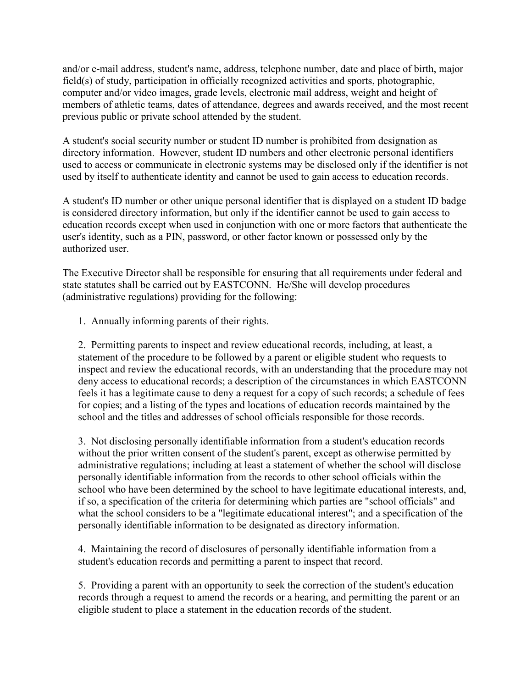and/or e-mail address, student's name, address, telephone number, date and place of birth, major field(s) of study, participation in officially recognized activities and sports, photographic, computer and/or video images, grade levels, electronic mail address, weight and height of members of athletic teams, dates of attendance, degrees and awards received, and the most recent previous public or private school attended by the student.

A student's social security number or student ID number is prohibited from designation as directory information. However, student ID numbers and other electronic personal identifiers used to access or communicate in electronic systems may be disclosed only if the identifier is not used by itself to authenticate identity and cannot be used to gain access to education records.

A student's ID number or other unique personal identifier that is displayed on a student ID badge is considered directory information, but only if the identifier cannot be used to gain access to education records except when used in conjunction with one or more factors that authenticate the user's identity, such as a PIN, password, or other factor known or possessed only by the authorized user.

The Executive Director shall be responsible for ensuring that all requirements under federal and state statutes shall be carried out by EASTCONN. He/She will develop procedures (administrative regulations) providing for the following:

1. Annually informing parents of their rights.

2. Permitting parents to inspect and review educational records, including, at least, a statement of the procedure to be followed by a parent or eligible student who requests to inspect and review the educational records, with an understanding that the procedure may not deny access to educational records; a description of the circumstances in which EASTCONN feels it has a legitimate cause to deny a request for a copy of such records; a schedule of fees for copies; and a listing of the types and locations of education records maintained by the school and the titles and addresses of school officials responsible for those records.

3. Not disclosing personally identifiable information from a student's education records without the prior written consent of the student's parent, except as otherwise permitted by administrative regulations; including at least a statement of whether the school will disclose personally identifiable information from the records to other school officials within the school who have been determined by the school to have legitimate educational interests, and, if so, a specification of the criteria for determining which parties are "school officials" and what the school considers to be a "legitimate educational interest"; and a specification of the personally identifiable information to be designated as directory information.

4. Maintaining the record of disclosures of personally identifiable information from a student's education records and permitting a parent to inspect that record.

5. Providing a parent with an opportunity to seek the correction of the student's education records through a request to amend the records or a hearing, and permitting the parent or an eligible student to place a statement in the education records of the student.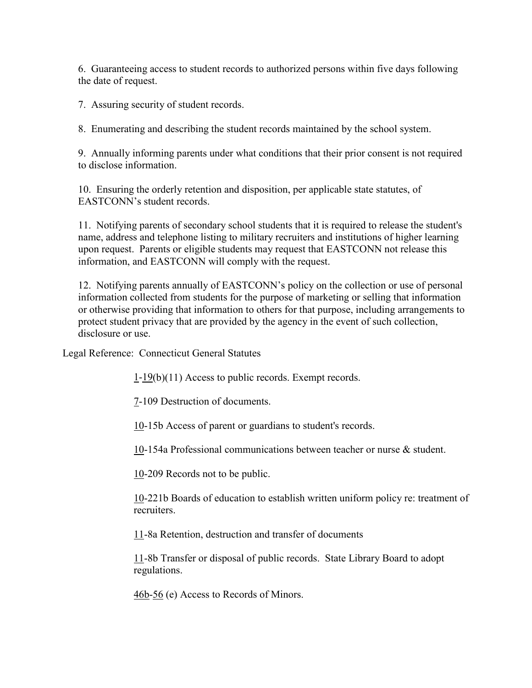6. Guaranteeing access to student records to authorized persons within five days following the date of request.

7. Assuring security of student records.

8. Enumerating and describing the student records maintained by the school system.

9. Annually informing parents under what conditions that their prior consent is not required to disclose information.

10. Ensuring the orderly retention and disposition, per applicable state statutes, of EASTCONN's student records.

11. Notifying parents of secondary school students that it is required to release the student's name, address and telephone listing to military recruiters and institutions of higher learning upon request. Parents or eligible students may request that EASTCONN not release this information, and EASTCONN will comply with the request.

12. Notifying parents annually of EASTCONN's policy on the collection or use of personal information collected from students for the purpose of marketing or selling that information or otherwise providing that information to others for that purpose, including arrangements to protect student privacy that are provided by the agency in the event of such collection, disclosure or use.

Legal Reference: Connecticut General Statutes

[1-](http://www.cga.ct.gov/2011/pub/Title1.htm)[19\(](http://www.cga.ct.gov/2011/pub/Title19.htm)b)(11) Access to public records. Exempt records.

[7-](http://www.cga.ct.gov/2011/pub/Title7.htm)109 Destruction of documents.

[10-](http://www.cga.ct.gov/2011/pub/Title10.htm)15b Access of parent or guardians to student's records.

[10-](http://www.cga.ct.gov/2011/pub/Title10.htm)154a Professional communications between teacher or nurse & student.

[10-](http://www.cga.ct.gov/2011/pub/Title10.htm)209 Records not to be public.

[10-](http://www.cga.ct.gov/2011/pub/Title10.htm)221b Boards of education to establish written uniform policy re: treatment of recruiters.

[11-](http://www.cga.ct.gov/2011/pub/Title11.htm)8a Retention, destruction and transfer of documents

[11-](http://www.cga.ct.gov/2011/pub/Title11.htm)8b Transfer or disposal of public records. State Library Board to adopt regulations.

[46b-](http://www.cga.ct.gov/2011/pub/Title46b.htm)[56](http://www.cga.ct.gov/2011/pub/Title56.htm) (e) Access to Records of Minors.